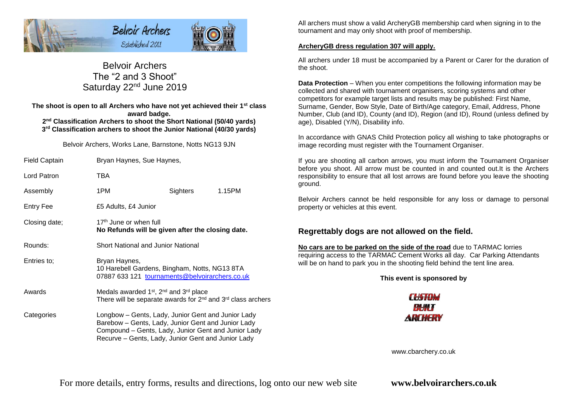

# Belvoir Archers The "2 and 3 Shoot" Saturday 22<sup>nd</sup> June 2019

**The shoot is open to all Archers who have not yet achieved their 1st class award badge. 2 nd Classification Archers to shoot the Short National (50/40 yards) 3 rd Classification archers to shoot the Junior National (40/30 yards)**

### Belvoir Archers, Works Lane, Barnstone, Notts NG13 9JN

| <b>Field Captain</b> | Bryan Haynes, Sue Haynes,                                                                                                                                                                                             |                           |  |  |  |  |
|----------------------|-----------------------------------------------------------------------------------------------------------------------------------------------------------------------------------------------------------------------|---------------------------|--|--|--|--|
| Lord Patron          | TBA                                                                                                                                                                                                                   |                           |  |  |  |  |
| Assembly             | 1PM                                                                                                                                                                                                                   | <b>Sighters</b><br>1.15PM |  |  |  |  |
| <b>Entry Fee</b>     | £5 Adults, £4 Junior                                                                                                                                                                                                  |                           |  |  |  |  |
| Closing date;        | 17 <sup>th</sup> June or when full<br>No Refunds will be given after the closing date.                                                                                                                                |                           |  |  |  |  |
| Rounds:              | <b>Short National and Junior National</b>                                                                                                                                                                             |                           |  |  |  |  |
| Entries to:          | Bryan Haynes,<br>10 Harebell Gardens, Bingham, Notts, NG13 8TA<br>07887 633 121 tournaments@belvoirarchers.co.uk                                                                                                      |                           |  |  |  |  |
| Awards               | Medals awarded 1 <sup>st</sup> , 2 <sup>nd</sup> and 3 <sup>rd</sup> place<br>There will be separate awards for 2 <sup>nd</sup> and 3 <sup>rd</sup> class archers                                                     |                           |  |  |  |  |
| Categories           | Longbow – Gents, Lady, Junior Gent and Junior Lady<br>Barebow - Gents, Lady, Junior Gent and Junior Lady<br>Compound – Gents, Lady, Junior Gent and Junior Lady<br>Recurve - Gents, Lady, Junior Gent and Junior Lady |                           |  |  |  |  |

All archers must show a valid ArcheryGB membership card when signing in to the tournament and may only shoot with proof of membership.

## **ArcheryGB dress regulation 307 will apply.**

All archers under 18 must be accompanied by a Parent or Carer for the duration of the shoot.

**Data Protection** – When you enter competitions the following information may be collected and shared with tournament organisers, scoring systems and other competitors for example target lists and results may be published: First Name, Surname, Gender, Bow Style, Date of Birth/Age category, Email, Address, Phone Number, Club (and ID), County (and ID), Region (and ID), Round (unless defined by age), Disabled (Y/N), Disability info.

In accordance with GNAS Child Protection policy all wishing to take photographs or image recording must register with the Tournament Organiser.

If you are shooting all carbon arrows, you must inform the Tournament Organiser before you shoot. All arrow must be counted in and counted out.It is the Archers responsibility to ensure that all lost arrows are found before you leave the shooting ground.

Belvoir Archers cannot be held responsible for any loss or damage to personal property or vehicles at this event.

# **Regrettably dogs are not allowed on the field.**

**No cars are to be parked on the side of the road** due to TARMAC lorries requiring access to the TARMAC Cement Works all day. Car Parking Attendants will be on hand to park you in the shooting field behind the tent line area.

## **This event is sponsored by**



www.cbarchery.co.uk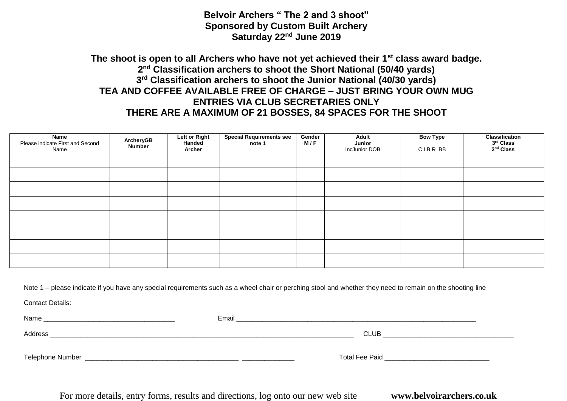**Belvoir Archers " The 2 and 3 shoot" Sponsored by Custom Built Archery Saturday 22nd June 2019**

# **The shoot is open to all Archers who have not yet achieved their 1st class award badge. 2 nd Classification archers to shoot the Short National (50/40 yards) 3 rd Classification archers to shoot the Junior National (40/30 yards) TEA AND COFFEE AVAILABLE FREE OF CHARGE – JUST BRING YOUR OWN MUG ENTRIES VIA CLUB SECRETARIES ONLY THERE ARE A MAXIMUM OF 21 BOSSES, 84 SPACES FOR THE SHOOT**

| Name<br>Please indicate First and Second<br>Name | ArcheryGB<br><b>Number</b> | Left or Right<br>Handed<br>Archer | Special Requirements see<br>note 1 | Gender<br>M/F | Adult<br>Junior<br>IncJunior DOB | <b>Bow Type</b><br>CLBR BB | <b>Classification</b><br>3rd Class<br>2 <sup>nd</sup> Class |
|--------------------------------------------------|----------------------------|-----------------------------------|------------------------------------|---------------|----------------------------------|----------------------------|-------------------------------------------------------------|
|                                                  |                            |                                   |                                    |               |                                  |                            |                                                             |
|                                                  |                            |                                   |                                    |               |                                  |                            |                                                             |
|                                                  |                            |                                   |                                    |               |                                  |                            |                                                             |
|                                                  |                            |                                   |                                    |               |                                  |                            |                                                             |
|                                                  |                            |                                   |                                    |               |                                  |                            |                                                             |
|                                                  |                            |                                   |                                    |               |                                  |                            |                                                             |
|                                                  |                            |                                   |                                    |               |                                  |                            |                                                             |
|                                                  |                            |                                   |                                    |               |                                  |                            |                                                             |

Note 1 – please indicate if you have any special requirements such as a wheel chair or perching stool and whether they need to remain on the shooting line

Contact Details:

Name \_\_\_\_\_\_\_\_\_\_\_\_\_\_\_\_\_\_\_\_\_\_\_\_\_\_\_\_\_\_\_\_\_\_\_ Email \_\_\_\_\_\_\_\_\_\_\_\_\_\_\_\_\_\_\_\_\_\_\_\_\_\_\_\_\_\_\_\_\_\_\_\_\_\_\_\_\_\_\_\_\_\_\_\_\_\_\_\_\_\_\_\_\_\_\_\_\_\_\_\_  $\blacktriangle$  Address  $\color{black}$  CLUB  $\color{black}$ Telephone Number \_\_\_\_\_\_\_\_\_\_\_\_\_\_\_\_\_\_\_\_\_\_\_\_\_\_\_\_\_\_\_\_\_\_\_\_\_\_\_\_\_ \_\_\_\_\_\_\_\_\_\_\_\_\_\_ Total Fee Paid \_\_\_\_\_\_\_\_\_\_\_\_\_\_\_\_\_\_\_\_\_\_\_\_\_\_\_\_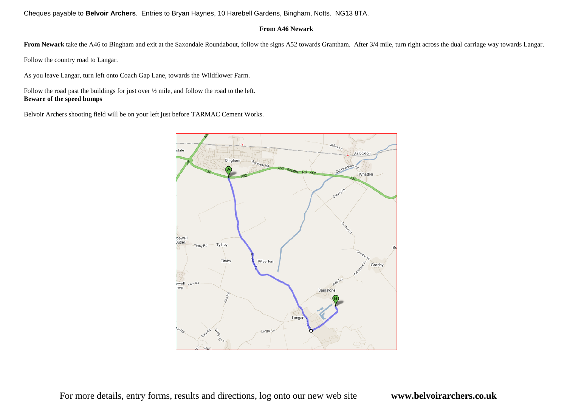Cheques payable to **Belvoir Archers**. Entries to Bryan Haynes, 10 Harebell Gardens, Bingham, Notts. NG13 8TA.

### **From A46 Newark**

From Newark take the A46 to Bingham and exit at the Saxondale Roundabout, follow the signs A52 towards Grantham. After 3/4 mile, turn right across the dual carriage way towards Langar.

Follow the country road to Langar.

As you leave Langar, turn left onto Coach Gap Lane, towards the Wildflower Farm.

Follow the road past the buildings for just over ½ mile, and follow the road to the left. **Beware of the speed bumps**

Belvoir Archers shooting field will be on your left just before TARMAC Cement Works.

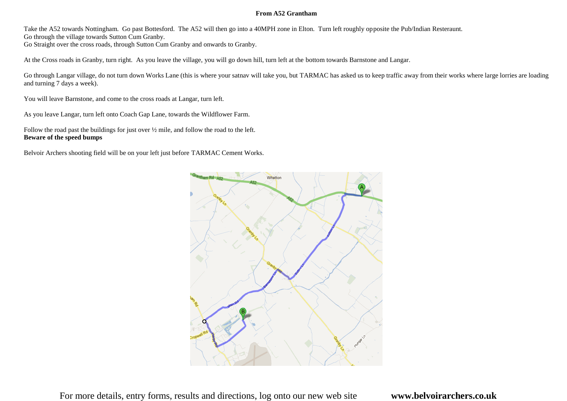#### **From A52 Grantham**

Take the A52 towards Nottingham. Go past Bottesford. The A52 will then go into a 40MPH zone in Elton. Turn left roughly opposite the Pub/Indian Resteraunt. Go through the village towards Sutton Cum Granby.

Go Straight over the cross roads, through Sutton Cum Granby and onwards to Granby.

At the Cross roads in Granby, turn right. As you leave the village, you will go down hill, turn left at the bottom towards Barnstone and Langar.

Go through Langar village, do not turn down Works Lane (this is where your satnav will take you, but TARMAC has asked us to keep traffic away from their works where large lorries are loading and turning 7 days a week).

You will leave Barnstone, and come to the cross roads at Langar, turn left.

As you leave Langar, turn left onto Coach Gap Lane, towards the Wildflower Farm.

Follow the road past the buildings for just over ½ mile, and follow the road to the left. **Beware of the speed bumps**

Belvoir Archers shooting field will be on your left just before TARMAC Cement Works.

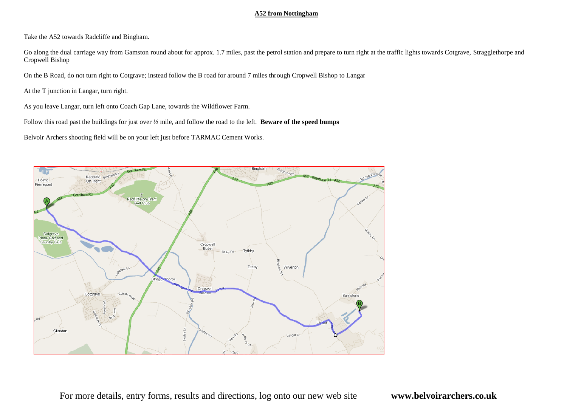#### **A52 from Nottingham**

Take the A52 towards Radcliffe and Bingham.

Go along the dual carriage way from Gamston round about for approx. 1.7 miles, past the petrol station and prepare to turn right at the traffic lights towards Cotgrave, Stragglethorpe and Cropwell Bishop

On the B Road, do not turn right to Cotgrave; instead follow the B road for around 7 miles through Cropwell Bishop to Langar

At the T junction in Langar, turn right.

As you leave Langar, turn left onto Coach Gap Lane, towards the Wildflower Farm.

Follow this road past the buildings for just over ½ mile, and follow the road to the left. **Beware of the speed bumps**

Belvoir Archers shooting field will be on your left just before TARMAC Cement Works.